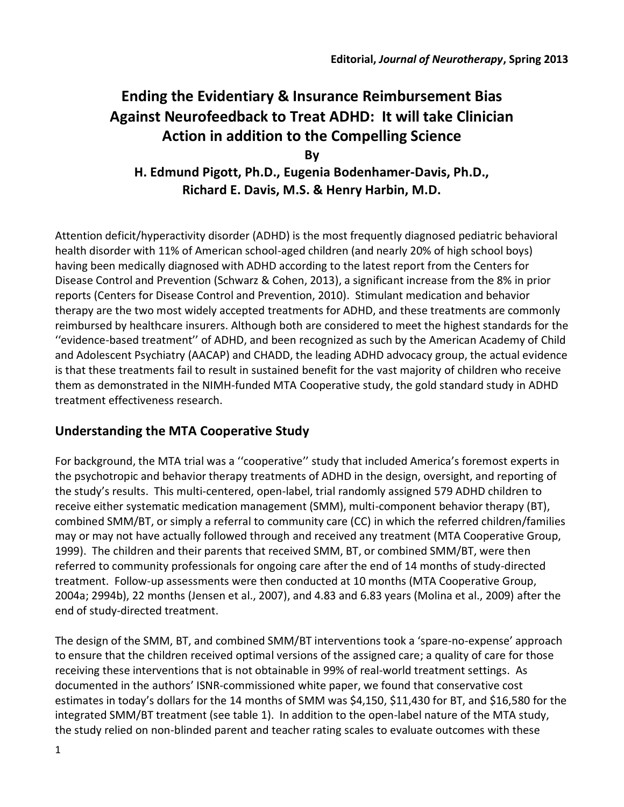# **Ending the Evidentiary & Insurance Reimbursement Bias Against Neurofeedback to Treat ADHD: It will take Clinician Action in addition to the Compelling Science**

**By H. Edmund Pigott, Ph.D., Eugenia Bodenhamer-Davis, Ph.D., Richard E. Davis, M.S. & Henry Harbin, M.D.**

Attention deficit/hyperactivity disorder (ADHD) is the most frequently diagnosed pediatric behavioral health disorder with 11% of American school-aged children (and nearly 20% of high school boys) having been medically diagnosed with ADHD according to the latest report from the Centers for Disease Control and Prevention (Schwarz & Cohen, 2013), a significant increase from the 8% in prior reports (Centers for Disease Control and Prevention, 2010). Stimulant medication and behavior therapy are the two most widely accepted treatments for ADHD, and these treatments are commonly reimbursed by healthcare insurers. Although both are considered to meet the highest standards for the ''evidence-based treatment'' of ADHD, and been recognized as such by the American Academy of Child and Adolescent Psychiatry (AACAP) and CHADD, the leading ADHD advocacy group, the actual evidence is that these treatments fail to result in sustained benefit for the vast majority of children who receive them as demonstrated in the NIMH-funded MTA Cooperative study, the gold standard study in ADHD treatment effectiveness research.

## **Understanding the MTA Cooperative Study**

For background, the MTA trial was a ''cooperative'' study that included America's foremost experts in the psychotropic and behavior therapy treatments of ADHD in the design, oversight, and reporting of the study's results. This multi-centered, open-label, trial randomly assigned 579 ADHD children to receive either systematic medication management (SMM), multi-component behavior therapy (BT), combined SMM/BT, or simply a referral to community care (CC) in which the referred children/families may or may not have actually followed through and received any treatment (MTA Cooperative Group, 1999). The children and their parents that received SMM, BT, or combined SMM/BT, were then referred to community professionals for ongoing care after the end of 14 months of study-directed treatment. Follow-up assessments were then conducted at 10 months (MTA Cooperative Group, 2004a; 2994b), 22 months (Jensen et al., 2007), and 4.83 and 6.83 years (Molina et al., 2009) after the end of study-directed treatment.

The design of the SMM, BT, and combined SMM/BT interventions took a 'spare-no-expense' approach to ensure that the children received optimal versions of the assigned care; a quality of care for those receiving these interventions that is not obtainable in 99% of real-world treatment settings. As documented in the authors' ISNR-commissioned white paper, we found that conservative cost estimates in today's dollars for the 14 months of SMM was \$4,150, \$11,430 for BT, and \$16,580 for the integrated SMM/BT treatment (see table 1). In addition to the open-label nature of the MTA study, the study relied on non-blinded parent and teacher rating scales to evaluate outcomes with these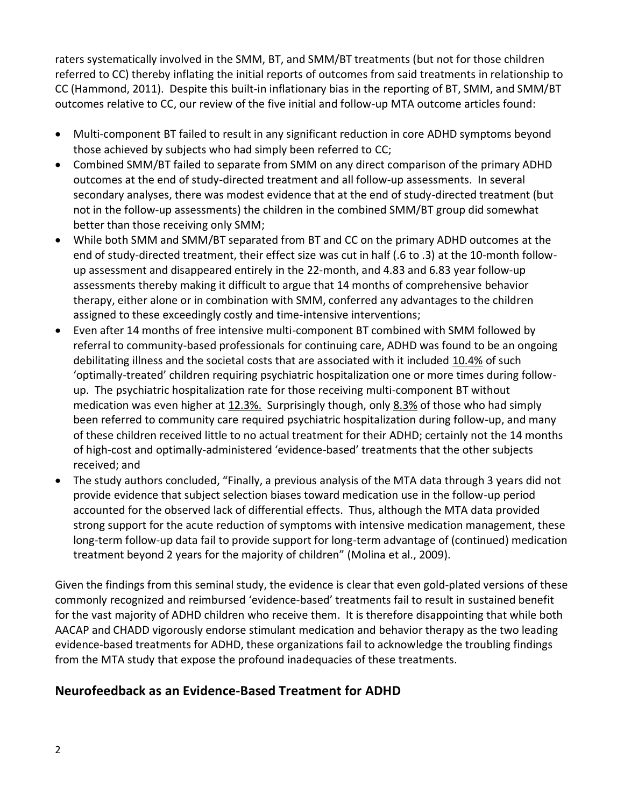raters systematically involved in the SMM, BT, and SMM/BT treatments (but not for those children referred to CC) thereby inflating the initial reports of outcomes from said treatments in relationship to CC (Hammond, 2011). Despite this built-in inflationary bias in the reporting of BT, SMM, and SMM/BT outcomes relative to CC, our review of the five initial and follow-up MTA outcome articles found:

- Multi-component BT failed to result in any significant reduction in core ADHD symptoms beyond those achieved by subjects who had simply been referred to CC;
- Combined SMM/BT failed to separate from SMM on any direct comparison of the primary ADHD outcomes at the end of study-directed treatment and all follow-up assessments. In several secondary analyses, there was modest evidence that at the end of study-directed treatment (but not in the follow-up assessments) the children in the combined SMM/BT group did somewhat better than those receiving only SMM;
- While both SMM and SMM/BT separated from BT and CC on the primary ADHD outcomes at the end of study-directed treatment, their effect size was cut in half (.6 to .3) at the 10-month followup assessment and disappeared entirely in the 22-month, and 4.83 and 6.83 year follow-up assessments thereby making it difficult to argue that 14 months of comprehensive behavior therapy, either alone or in combination with SMM, conferred any advantages to the children assigned to these exceedingly costly and time-intensive interventions;
- Even after 14 months of free intensive multi-component BT combined with SMM followed by referral to community-based professionals for continuing care, ADHD was found to be an ongoing debilitating illness and the societal costs that are associated with it included 10.4% of such 'optimally-treated' children requiring psychiatric hospitalization one or more times during followup. The psychiatric hospitalization rate for those receiving multi-component BT without medication was even higher at 12.3%. Surprisingly though, only 8.3% of those who had simply been referred to community care required psychiatric hospitalization during follow-up, and many of these children received little to no actual treatment for their ADHD; certainly not the 14 months of high-cost and optimally-administered 'evidence-based' treatments that the other subjects received; and
- The study authors concluded, "Finally, a previous analysis of the MTA data through 3 years did not provide evidence that subject selection biases toward medication use in the follow-up period accounted for the observed lack of differential effects. Thus, although the MTA data provided strong support for the acute reduction of symptoms with intensive medication management, these long-term follow-up data fail to provide support for long-term advantage of (continued) medication treatment beyond 2 years for the majority of children" (Molina et al., 2009).

Given the findings from this seminal study, the evidence is clear that even gold-plated versions of these commonly recognized and reimbursed 'evidence-based' treatments fail to result in sustained benefit for the vast majority of ADHD children who receive them. It is therefore disappointing that while both AACAP and CHADD vigorously endorse stimulant medication and behavior therapy as the two leading evidence-based treatments for ADHD, these organizations fail to acknowledge the troubling findings from the MTA study that expose the profound inadequacies of these treatments.

## **Neurofeedback as an Evidence-Based Treatment for ADHD**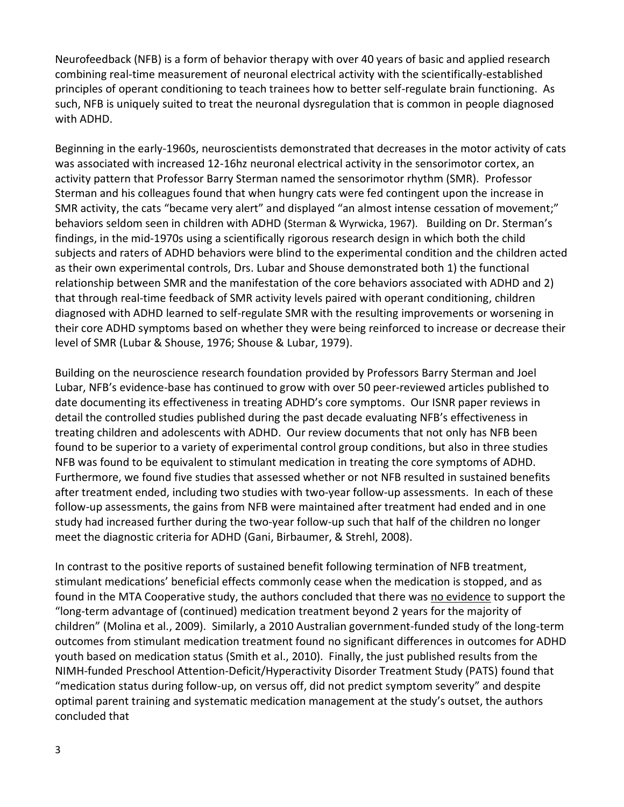Neurofeedback (NFB) is a form of behavior therapy with over 40 years of basic and applied research combining real-time measurement of neuronal electrical activity with the scientifically-established principles of operant conditioning to teach trainees how to better self-regulate brain functioning. As such, NFB is uniquely suited to treat the neuronal dysregulation that is common in people diagnosed with ADHD.

Beginning in the early-1960s, neuroscientists demonstrated that decreases in the motor activity of cats was associated with increased 12-16hz neuronal electrical activity in the sensorimotor cortex, an activity pattern that Professor Barry Sterman named the sensorimotor rhythm (SMR). Professor Sterman and his colleagues found that when hungry cats were fed contingent upon the increase in SMR activity, the cats "became very alert" and displayed "an almost intense cessation of movement;" behaviors seldom seen in children with ADHD (Sterman & Wyrwicka, 1967). Building on Dr. Sterman's findings, in the mid-1970s using a scientifically rigorous research design in which both the child subjects and raters of ADHD behaviors were blind to the experimental condition and the children acted as their own experimental controls, Drs. Lubar and Shouse demonstrated both 1) the functional relationship between SMR and the manifestation of the core behaviors associated with ADHD and 2) that through real-time feedback of SMR activity levels paired with operant conditioning, children diagnosed with ADHD learned to self-regulate SMR with the resulting improvements or worsening in their core ADHD symptoms based on whether they were being reinforced to increase or decrease their level of SMR (Lubar & Shouse, 1976; Shouse & Lubar, 1979).

Building on the neuroscience research foundation provided by Professors Barry Sterman and Joel Lubar, NFB's evidence-base has continued to grow with over 50 peer-reviewed articles published to date documenting its effectiveness in treating ADHD's core symptoms. Our ISNR paper reviews in detail the controlled studies published during the past decade evaluating NFB's effectiveness in treating children and adolescents with ADHD. Our review documents that not only has NFB been found to be superior to a variety of experimental control group conditions, but also in three studies NFB was found to be equivalent to stimulant medication in treating the core symptoms of ADHD. Furthermore, we found five studies that assessed whether or not NFB resulted in sustained benefits after treatment ended, including two studies with two-year follow-up assessments. In each of these follow-up assessments, the gains from NFB were maintained after treatment had ended and in one study had increased further during the two-year follow-up such that half of the children no longer meet the diagnostic criteria for ADHD (Gani, Birbaumer, & Strehl, 2008).

In contrast to the positive reports of sustained benefit following termination of NFB treatment, stimulant medications' beneficial effects commonly cease when the medication is stopped, and as found in the MTA Cooperative study, the authors concluded that there was no evidence to support the "long-term advantage of (continued) medication treatment beyond 2 years for the majority of children" (Molina et al., 2009). Similarly, a 2010 Australian government-funded study of the long-term outcomes from stimulant medication treatment found no significant differences in outcomes for ADHD youth based on medication status (Smith et al., 2010). Finally, the just published results from the NIMH-funded Preschool Attention-Deficit/Hyperactivity Disorder Treatment Study (PATS) found that "medication status during follow-up, on versus off, did not predict symptom severity" and despite optimal parent training and systematic medication management at the study's outset, the authors concluded that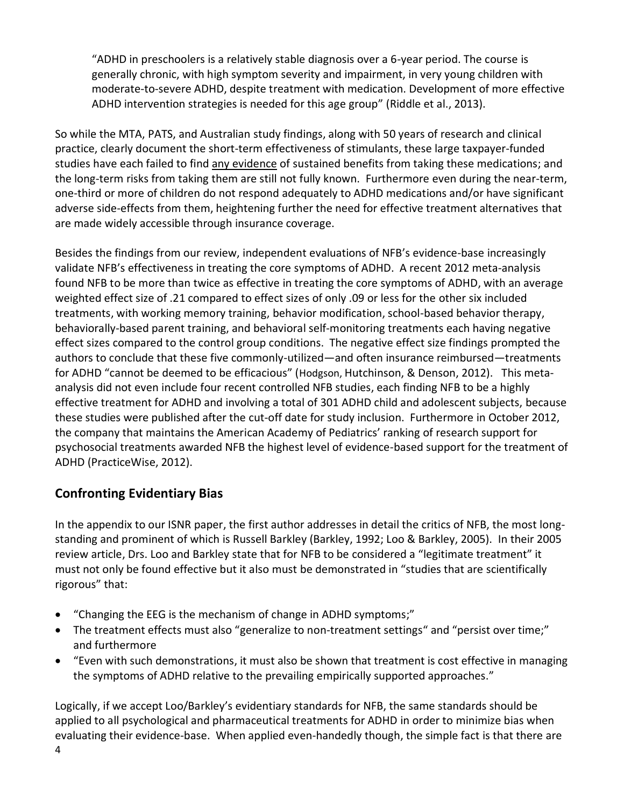"ADHD in preschoolers is a relatively stable diagnosis over a 6-year period. The course is generally chronic, with high symptom severity and impairment, in very young children with moderate-to-severe ADHD, despite treatment with medication. Development of more effective ADHD intervention strategies is needed for this age group" (Riddle et al., 2013).

So while the MTA, PATS, and Australian study findings, along with 50 years of research and clinical practice, clearly document the short-term effectiveness of stimulants, these large taxpayer-funded studies have each failed to find any evidence of sustained benefits from taking these medications; and the long-term risks from taking them are still not fully known. Furthermore even during the near-term, one-third or more of children do not respond adequately to ADHD medications and/or have significant adverse side-effects from them, heightening further the need for effective treatment alternatives that are made widely accessible through insurance coverage.

Besides the findings from our review, independent evaluations of NFB's evidence-base increasingly validate NFB's effectiveness in treating the core symptoms of ADHD. A recent 2012 meta-analysis found NFB to be more than twice as effective in treating the core symptoms of ADHD, with an average weighted effect size of .21 compared to effect sizes of only .09 or less for the other six included treatments, with working memory training, behavior modification, school-based behavior therapy, behaviorally-based parent training, and behavioral self-monitoring treatments each having negative effect sizes compared to the control group conditions. The negative effect size findings prompted the authors to conclude that these five commonly-utilized—and often insurance reimbursed—treatments for ADHD "cannot be deemed to be efficacious" (Hodgson, Hutchinson, & Denson, 2012). This metaanalysis did not even include four recent controlled NFB studies, each finding NFB to be a highly effective treatment for ADHD and involving a total of 301 ADHD child and adolescent subjects, because these studies were published after the cut-off date for study inclusion. Furthermore in October 2012, the company that maintains the American Academy of Pediatrics' ranking of research support for psychosocial treatments awarded NFB the highest level of evidence-based support for the treatment of ADHD (PracticeWise, 2012).

## **Confronting Evidentiary Bias**

In the appendix to our ISNR paper, the first author addresses in detail the critics of NFB, the most longstanding and prominent of which is Russell Barkley (Barkley, 1992; Loo & Barkley, 2005). In their 2005 review article, Drs. Loo and Barkley state that for NFB to be considered a "legitimate treatment" it must not only be found effective but it also must be demonstrated in "studies that are scientifically rigorous" that:

- "Changing the EEG is the mechanism of change in ADHD symptoms;"
- The treatment effects must also "generalize to non-treatment settings" and "persist over time;" and furthermore
- "Even with such demonstrations, it must also be shown that treatment is cost effective in managing the symptoms of ADHD relative to the prevailing empirically supported approaches."

4 Logically, if we accept Loo/Barkley's evidentiary standards for NFB, the same standards should be applied to all psychological and pharmaceutical treatments for ADHD in order to minimize bias when evaluating their evidence-base. When applied even-handedly though, the simple fact is that there are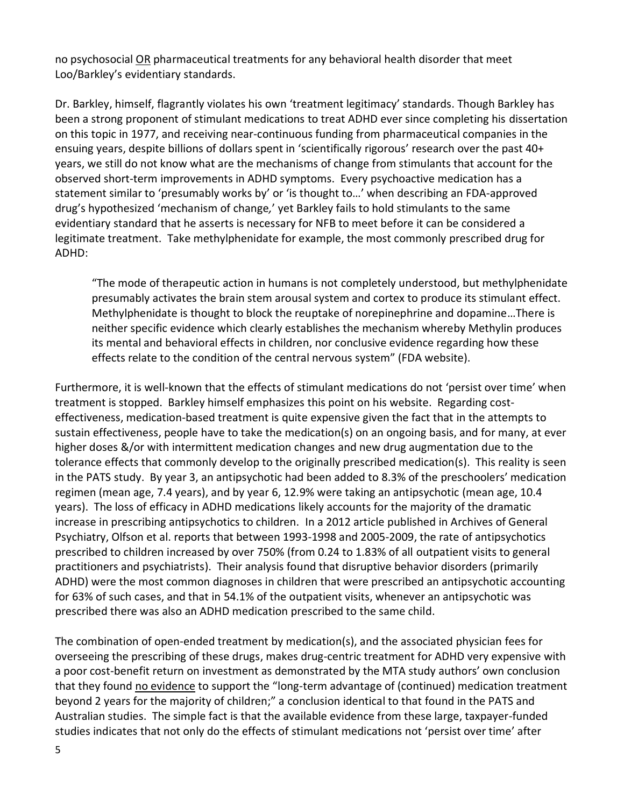no psychosocial OR pharmaceutical treatments for any behavioral health disorder that meet Loo/Barkley's evidentiary standards.

Dr. Barkley, himself, flagrantly violates his own 'treatment legitimacy' standards. Though Barkley has been a strong proponent of stimulant medications to treat ADHD ever since completing his dissertation on this topic in 1977, and receiving near-continuous funding from pharmaceutical companies in the ensuing years, despite billions of dollars spent in 'scientifically rigorous' research over the past 40+ years, we still do not know what are the mechanisms of change from stimulants that account for the observed short-term improvements in ADHD symptoms. Every psychoactive medication has a statement similar to 'presumably works by' or 'is thought to…' when describing an FDA-approved drug's hypothesized 'mechanism of change*,*' yet Barkley fails to hold stimulants to the same evidentiary standard that he asserts is necessary for NFB to meet before it can be considered a legitimate treatment. Take methylphenidate for example, the most commonly prescribed drug for ADHD:

"The mode of therapeutic action in humans is not completely understood, but methylphenidate presumably activates the brain stem arousal system and cortex to produce its stimulant effect. Methylphenidate is thought to block the reuptake of norepinephrine and dopamine…There is neither specific evidence which clearly establishes the mechanism whereby Methylin produces its mental and behavioral effects in children, nor conclusive evidence regarding how these effects relate to the condition of the central nervous system" (FDA website).

Furthermore, it is well-known that the effects of stimulant medications do not 'persist over time' when treatment is stopped. Barkley himself emphasizes this point on his website. Regarding costeffectiveness, medication-based treatment is quite expensive given the fact that in the attempts to sustain effectiveness, people have to take the medication(s) on an ongoing basis, and for many, at ever higher doses &/or with intermittent medication changes and new drug augmentation due to the tolerance effects that commonly develop to the originally prescribed medication(s). This reality is seen in the PATS study. By year 3, an antipsychotic had been added to 8.3% of the preschoolers' medication regimen (mean age, 7.4 years), and by year 6, 12.9% were taking an antipsychotic (mean age, 10.4 years). The loss of efficacy in ADHD medications likely accounts for the majority of the dramatic increase in prescribing antipsychotics to children. In a 2012 article published in Archives of General Psychiatry, Olfson et al. reports that between 1993-1998 and 2005-2009, the rate of antipsychotics prescribed to children increased by over 750% (from 0.24 to 1.83% of all outpatient visits to general practitioners and psychiatrists). Their analysis found that disruptive behavior disorders (primarily ADHD) were the most common diagnoses in children that were prescribed an antipsychotic accounting for 63% of such cases, and that in 54.1% of the outpatient visits, whenever an antipsychotic was prescribed there was also an ADHD medication prescribed to the same child.

The combination of open-ended treatment by medication(s), and the associated physician fees for overseeing the prescribing of these drugs, makes drug-centric treatment for ADHD very expensive with a poor cost-benefit return on investment as demonstrated by the MTA study authors' own conclusion that they found no evidence to support the "long-term advantage of (continued) medication treatment beyond 2 years for the majority of children;" a conclusion identical to that found in the PATS and Australian studies. The simple fact is that the available evidence from these large, taxpayer-funded studies indicates that not only do the effects of stimulant medications not 'persist over time' after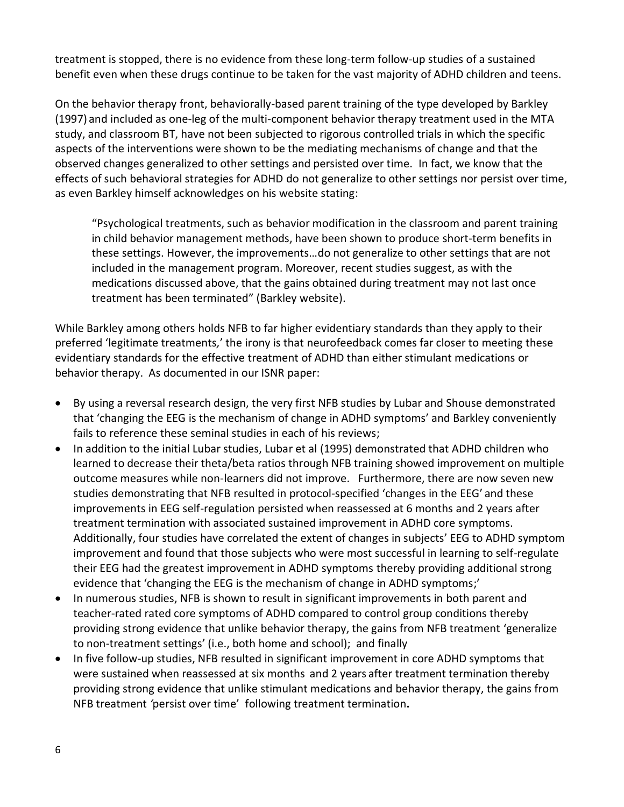treatment is stopped, there is no evidence from these long-term follow-up studies of a sustained benefit even when these drugs continue to be taken for the vast majority of ADHD children and teens.

On the behavior therapy front, behaviorally-based parent training of the type developed by Barkley (1997) and included as one-leg of the multi-component behavior therapy treatment used in the MTA study, and classroom BT, have not been subjected to rigorous controlled trials in which the specific aspects of the interventions were shown to be the mediating mechanisms of change and that the observed changes generalized to other settings and persisted over time. In fact, we know that the effects of such behavioral strategies for ADHD do not generalize to other settings nor persist over time, as even Barkley himself acknowledges on his website stating:

"Psychological treatments, such as behavior modification in the classroom and parent training in child behavior management methods, have been shown to produce short-term benefits in these settings. However, the improvements…do not generalize to other settings that are not included in the management program. Moreover, recent studies suggest, as with the medications discussed above, that the gains obtained during treatment may not last once treatment has been terminated" (Barkley website).

While Barkley among others holds NFB to far higher evidentiary standards than they apply to their preferred 'legitimate treatments*,*' the irony is that neurofeedback comes far closer to meeting these evidentiary standards for the effective treatment of ADHD than either stimulant medications or behavior therapy. As documented in our ISNR paper:

- By using a reversal research design, the very first NFB studies by Lubar and Shouse demonstrated that 'changing the EEG is the mechanism of change in ADHD symptoms' and Barkley conveniently fails to reference these seminal studies in each of his reviews;
- In addition to the initial Lubar studies, Lubar et al (1995) demonstrated that ADHD children who learned to decrease their theta/beta ratios through NFB training showed improvement on multiple outcome measures while non-learners did not improve. Furthermore, there are now seven new studies demonstrating that NFB resulted in protocol-specified 'changes in the EEG' and these improvements in EEG self-regulation persisted when reassessed at 6 months and 2 years after treatment termination with associated sustained improvement in ADHD core symptoms. Additionally, four studies have correlated the extent of changes in subjects' EEG to ADHD symptom improvement and found that those subjects who were most successful in learning to self-regulate their EEG had the greatest improvement in ADHD symptoms thereby providing additional strong evidence that 'changing the EEG is the mechanism of change in ADHD symptoms;'
- In numerous studies, NFB is shown to result in significant improvements in both parent and teacher-rated rated core symptoms of ADHD compared to control group conditions thereby providing strong evidence that unlike behavior therapy, the gains from NFB treatment 'generalize to non-treatment settings' (i.e., both home and school); and finally
- In five follow-up studies, NFB resulted in significant improvement in core ADHD symptoms that were sustained when reassessed at six months and 2 years after treatment termination thereby providing strong evidence that unlike stimulant medications and behavior therapy, the gains from NFB treatment *'*persist over time' following treatment termination**.**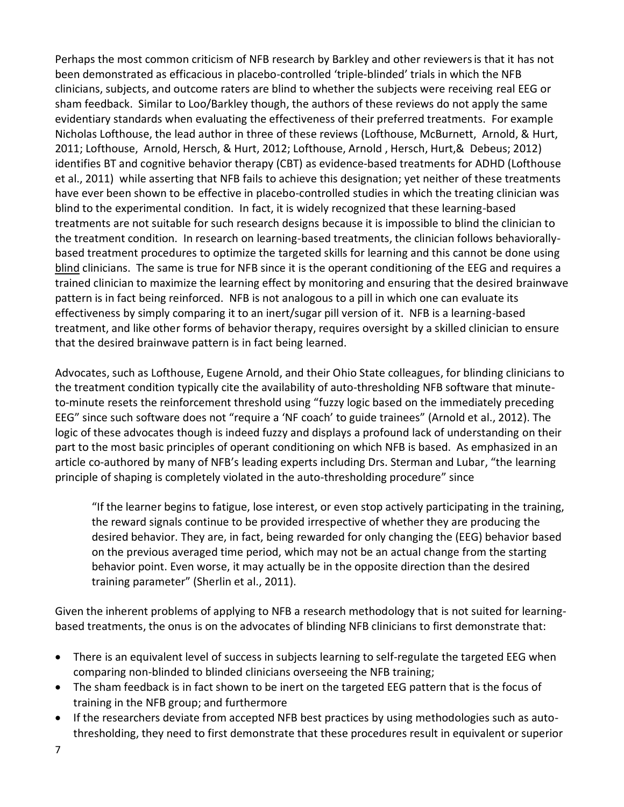Perhaps the most common criticism of NFB research by Barkley and other reviewersis that it has not been demonstrated as efficacious in placebo-controlled 'triple-blinded' trials in which the NFB clinicians, subjects, and outcome raters are blind to whether the subjects were receiving real EEG or sham feedback. Similar to Loo/Barkley though, the authors of these reviews do not apply the same evidentiary standards when evaluating the effectiveness of their preferred treatments. For example Nicholas Lofthouse, the lead author in three of these reviews (Lofthouse, McBurnett, Arnold, & Hurt, 2011; Lofthouse, Arnold, Hersch, & Hurt, 2012; Lofthouse, Arnold , Hersch, Hurt,& Debeus; 2012) identifies BT and cognitive behavior therapy (CBT) as evidence-based treatments for ADHD (Lofthouse et al., 2011) while asserting that NFB fails to achieve this designation; yet neither of these treatments have ever been shown to be effective in placebo-controlled studies in which the treating clinician was blind to the experimental condition. In fact, it is widely recognized that these learning-based treatments are not suitable for such research designs because it is impossible to blind the clinician to the treatment condition. In research on learning-based treatments, the clinician follows behaviorallybased treatment procedures to optimize the targeted skills for learning and this cannot be done using blind clinicians. The same is true for NFB since it is the operant conditioning of the EEG and requires a trained clinician to maximize the learning effect by monitoring and ensuring that the desired brainwave pattern is in fact being reinforced. NFB is not analogous to a pill in which one can evaluate its effectiveness by simply comparing it to an inert/sugar pill version of it. NFB is a learning-based treatment, and like other forms of behavior therapy, requires oversight by a skilled clinician to ensure that the desired brainwave pattern is in fact being learned.

Advocates, such as Lofthouse, Eugene Arnold, and their Ohio State colleagues, for blinding clinicians to the treatment condition typically cite the availability of auto-thresholding NFB software that minuteto-minute resets the reinforcement threshold using "fuzzy logic based on the immediately preceding EEG" since such software does not "require a 'NF coach' to guide trainees" (Arnold et al., 2012). The logic of these advocates though is indeed fuzzy and displays a profound lack of understanding on their part to the most basic principles of operant conditioning on which NFB is based. As emphasized in an article co-authored by many of NFB's leading experts including Drs. Sterman and Lubar, "the learning principle of shaping is completely violated in the auto-thresholding procedure" since

"If the learner begins to fatigue, lose interest, or even stop actively participating in the training, the reward signals continue to be provided irrespective of whether they are producing the desired behavior. They are, in fact, being rewarded for only changing the (EEG) behavior based on the previous averaged time period, which may not be an actual change from the starting behavior point. Even worse, it may actually be in the opposite direction than the desired training parameter" (Sherlin et al., 2011).

Given the inherent problems of applying to NFB a research methodology that is not suited for learningbased treatments, the onus is on the advocates of blinding NFB clinicians to first demonstrate that:

- There is an equivalent level of success in subjects learning to self-regulate the targeted EEG when comparing non-blinded to blinded clinicians overseeing the NFB training;
- The sham feedback is in fact shown to be inert on the targeted EEG pattern that is the focus of training in the NFB group; and furthermore
- If the researchers deviate from accepted NFB best practices by using methodologies such as autothresholding, they need to first demonstrate that these procedures result in equivalent or superior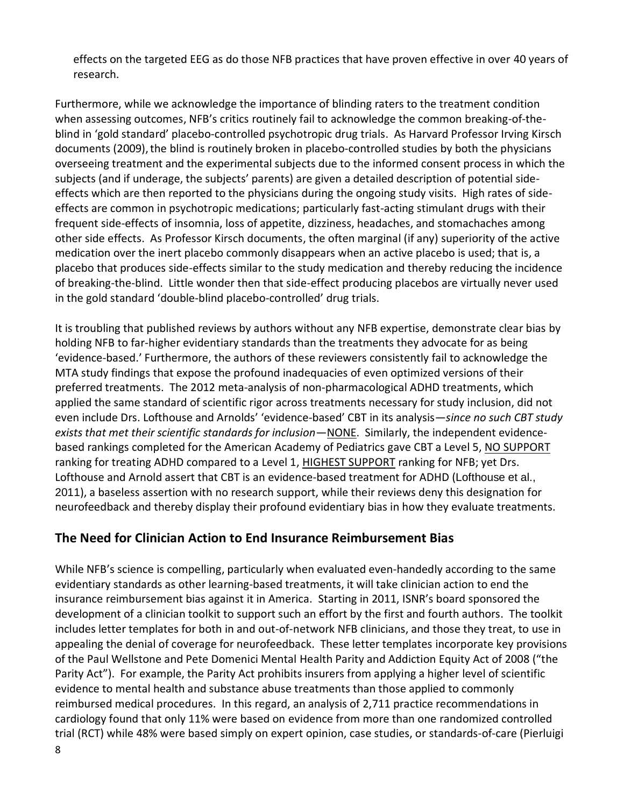effects on the targeted EEG as do those NFB practices that have proven effective in over 40 years of research.

Furthermore, while we acknowledge the importance of blinding raters to the treatment condition when assessing outcomes, NFB's critics routinely fail to acknowledge the common breaking-of-theblind in 'gold standard' placebo-controlled psychotropic drug trials. As Harvard Professor Irving Kirsch documents (2009), the blind is routinely broken in placebo-controlled studies by both the physicians overseeing treatment and the experimental subjects due to the informed consent process in which the subjects (and if underage, the subjects' parents) are given a detailed description of potential sideeffects which are then reported to the physicians during the ongoing study visits. High rates of sideeffects are common in psychotropic medications; particularly fast-acting stimulant drugs with their frequent side-effects of insomnia, loss of appetite, dizziness, headaches, and stomachaches among other side effects. As Professor Kirsch documents, the often marginal (if any) superiority of the active medication over the inert placebo commonly disappears when an active placebo is used; that is, a placebo that produces side-effects similar to the study medication and thereby reducing the incidence of breaking-the-blind. Little wonder then that side-effect producing placebos are virtually never used in the gold standard 'double-blind placebo-controlled' drug trials.

It is troubling that published reviews by authors without any NFB expertise, demonstrate clear bias by holding NFB to far-higher evidentiary standards than the treatments they advocate for as being 'evidence-based.' Furthermore, the authors of these reviewers consistently fail to acknowledge the MTA study findings that expose the profound inadequacies of even optimized versions of their preferred treatments. The 2012 meta-analysis of non-pharmacological ADHD treatments, which applied the same standard of scientific rigor across treatments necessary for study inclusion, did not even include Drs. Lofthouse and Arnolds' 'evidence-based' CBT in its analysis—*since no such CBT study exists that met their scientific standards for inclusion*—NONE. Similarly, the independent evidencebased rankings completed for the American Academy of Pediatrics gave CBT a Level 5, NO SUPPORT ranking for treating ADHD compared to a Level 1, HIGHEST SUPPORT ranking for NFB; yet Drs. Lofthouse and Arnold assert that CBT is an evidence-based treatment for ADHD (Lofthouse et al., 2011), a baseless assertion with no research support, while their reviews deny this designation for neurofeedback and thereby display their profound evidentiary bias in how they evaluate treatments.

## **The Need for Clinician Action to End Insurance Reimbursement Bias**

While NFB's science is compelling, particularly when evaluated even-handedly according to the same evidentiary standards as other learning-based treatments, it will take clinician action to end the insurance reimbursement bias against it in America. Starting in 2011, ISNR's board sponsored the development of a clinician toolkit to support such an effort by the first and fourth authors. The toolkit includes letter templates for both in and out-of-network NFB clinicians, and those they treat, to use in appealing the denial of coverage for neurofeedback. These letter templates incorporate key provisions of the Paul Wellstone and Pete Domenici Mental Health Parity and Addiction Equity Act of 2008 ("the Parity Act"). For example, the Parity Act prohibits insurers from applying a higher level of scientific evidence to mental health and substance abuse treatments than those applied to commonly reimbursed medical procedures. In this regard, an analysis of 2,711 practice recommendations in cardiology found that only 11% were based on evidence from more than one randomized controlled trial (RCT) while 48% were based simply on expert opinion, case studies, or standards-of-care (Pierluigi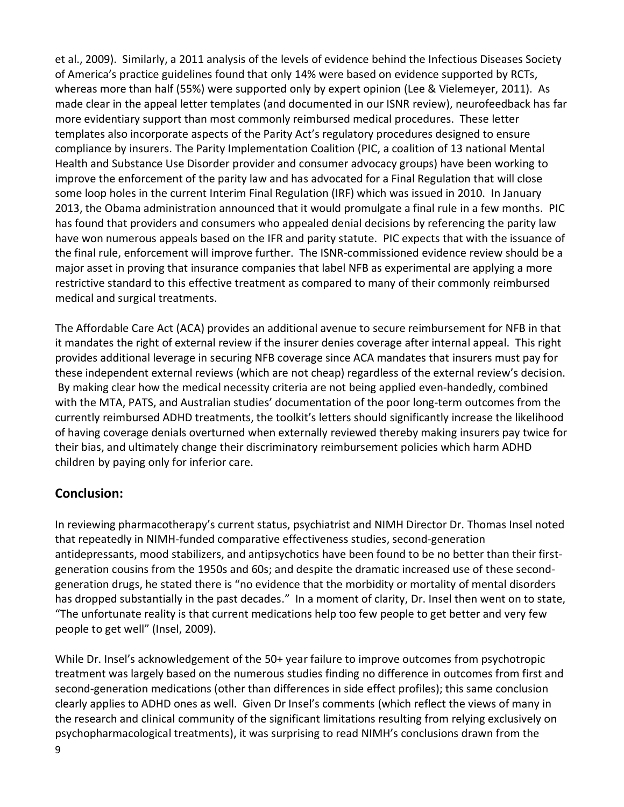et al., 2009). Similarly, a 2011 analysis of the levels of evidence behind the Infectious Diseases Society of America's practice guidelines found that only 14% were based on evidence supported by RCTs, whereas more than half (55%) were supported only by expert opinion (Lee & Vielemeyer, 2011). As made clear in the appeal letter templates (and documented in our ISNR review), neurofeedback has far more evidentiary support than most commonly reimbursed medical procedures. These letter templates also incorporate aspects of the Parity Act's regulatory procedures designed to ensure compliance by insurers. The Parity Implementation Coalition (PIC, a coalition of 13 national Mental Health and Substance Use Disorder provider and consumer advocacy groups) have been working to improve the enforcement of the parity law and has advocated for a Final Regulation that will close some loop holes in the current Interim Final Regulation (IRF) which was issued in 2010. In January 2013, the Obama administration announced that it would promulgate a final rule in a few months. PIC has found that providers and consumers who appealed denial decisions by referencing the parity law have won numerous appeals based on the IFR and parity statute. PIC expects that with the issuance of the final rule, enforcement will improve further. The ISNR-commissioned evidence review should be a major asset in proving that insurance companies that label NFB as experimental are applying a more restrictive standard to this effective treatment as compared to many of their commonly reimbursed medical and surgical treatments.

The Affordable Care Act (ACA) provides an additional avenue to secure reimbursement for NFB in that it mandates the right of external review if the insurer denies coverage after internal appeal. This right provides additional leverage in securing NFB coverage since ACA mandates that insurers must pay for these independent external reviews (which are not cheap) regardless of the external review's decision. By making clear how the medical necessity criteria are not being applied even-handedly, combined with the MTA, PATS, and Australian studies' documentation of the poor long-term outcomes from the currently reimbursed ADHD treatments, the toolkit's letters should significantly increase the likelihood of having coverage denials overturned when externally reviewed thereby making insurers pay twice for their bias, and ultimately change their discriminatory reimbursement policies which harm ADHD children by paying only for inferior care.

## **Conclusion:**

In reviewing pharmacotherapy's current status, psychiatrist and NIMH Director Dr. Thomas Insel noted that repeatedly in NIMH-funded comparative effectiveness studies, second-generation antidepressants, mood stabilizers, and antipsychotics have been found to be no better than their firstgeneration cousins from the 1950s and 60s; and despite the dramatic increased use of these secondgeneration drugs, he stated there is "no evidence that the morbidity or mortality of mental disorders has dropped substantially in the past decades." In a moment of clarity, Dr. Insel then went on to state, "The unfortunate reality is that current medications help too few people to get better and very few people to get well" (Insel, 2009).

While Dr. Insel's acknowledgement of the 50+ year failure to improve outcomes from psychotropic treatment was largely based on the numerous studies finding no difference in outcomes from first and second-generation medications (other than differences in side effect profiles); this same conclusion clearly applies to ADHD ones as well. Given Dr Insel's comments (which reflect the views of many in the research and clinical community of the significant limitations resulting from relying exclusively on psychopharmacological treatments), it was surprising to read NIMH's conclusions drawn from the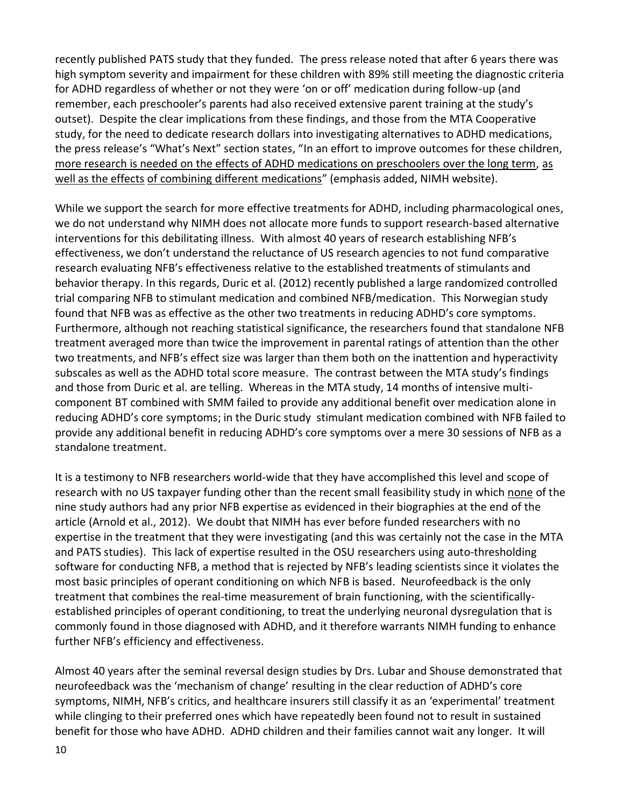recently published PATS study that they funded. The press release noted that after 6 years there was high symptom severity and impairment for these children with 89% still meeting the diagnostic criteria for ADHD regardless of whether or not they were 'on or off' medication during follow-up (and remember, each preschooler's parents had also received extensive parent training at the study's outset). Despite the clear implications from these findings, and those from the MTA Cooperative study, for the need to dedicate research dollars into investigating alternatives to ADHD medications, the press release's "What's Next" section states, "In an effort to improve outcomes for these children, more research is needed on the effects of ADHD medications on preschoolers over the long term, as well as the effects of combining different medications" (emphasis added, NIMH website).

While we support the search for more effective treatments for ADHD, including pharmacological ones, we do not understand why NIMH does not allocate more funds to support research-based alternative interventions for this debilitating illness. With almost 40 years of research establishing NFB's effectiveness, we don't understand the reluctance of US research agencies to not fund comparative research evaluating NFB's effectiveness relative to the established treatments of stimulants and behavior therapy. In this regards, Duric et al. (2012) recently published a large randomized controlled trial comparing NFB to stimulant medication and combined NFB/medication. This Norwegian study found that NFB was as effective as the other two treatments in reducing ADHD's core symptoms. Furthermore, although not reaching statistical significance, the researchers found that standalone NFB treatment averaged more than twice the improvement in parental ratings of attention than the other two treatments, and NFB's effect size was larger than them both on the inattention and hyperactivity subscales as well as the ADHD total score measure. The contrast between the MTA study's findings and those from Duric et al. are telling. Whereas in the MTA study, 14 months of intensive multicomponent BT combined with SMM failed to provide any additional benefit over medication alone in reducing ADHD's core symptoms; in the Duric study stimulant medication combined with NFB failed to provide any additional benefit in reducing ADHD's core symptoms over a mere 30 sessions of NFB as a standalone treatment.

It is a testimony to NFB researchers world-wide that they have accomplished this level and scope of research with no US taxpayer funding other than the recent small feasibility study in which none of the nine study authors had any prior NFB expertise as evidenced in their biographies at the end of the article (Arnold et al., 2012). We doubt that NIMH has ever before funded researchers with no expertise in the treatment that they were investigating (and this was certainly not the case in the MTA and PATS studies). This lack of expertise resulted in the OSU researchers using auto-thresholding software for conducting NFB, a method that is rejected by NFB's leading scientists since it violates the most basic principles of operant conditioning on which NFB is based. Neurofeedback is the only treatment that combines the real-time measurement of brain functioning, with the scientificallyestablished principles of operant conditioning, to treat the underlying neuronal dysregulation that is commonly found in those diagnosed with ADHD, and it therefore warrants NIMH funding to enhance further NFB's efficiency and effectiveness.

Almost 40 years after the seminal reversal design studies by Drs. Lubar and Shouse demonstrated that neurofeedback was the 'mechanism of change' resulting in the clear reduction of ADHD's core symptoms, NIMH, NFB's critics, and healthcare insurers still classify it as an 'experimental' treatment while clinging to their preferred ones which have repeatedly been found not to result in sustained benefit for those who have ADHD. ADHD children and their families cannot wait any longer. It will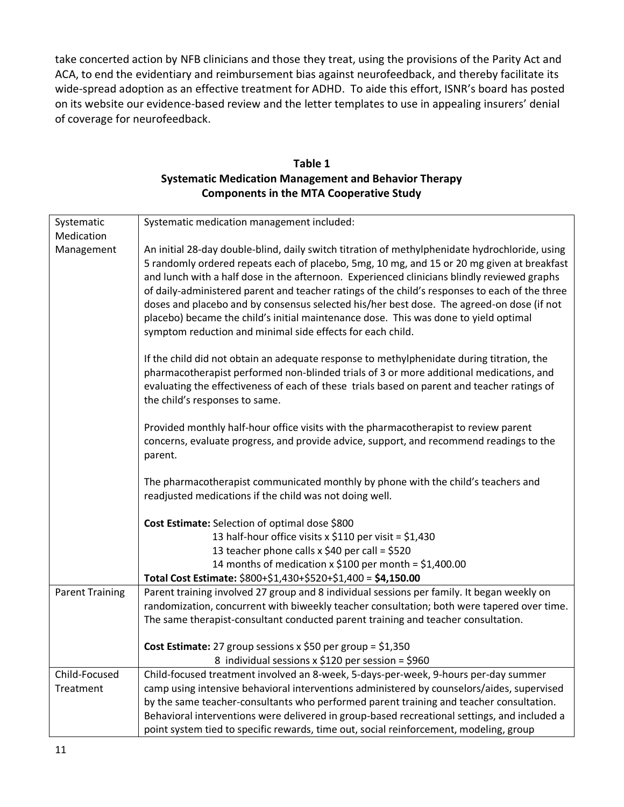take concerted action by NFB clinicians and those they treat, using the provisions of the Parity Act and ACA, to end the evidentiary and reimbursement bias against neurofeedback, and thereby facilitate its wide-spread adoption as an effective treatment for ADHD. To aide this effort, ISNR's board has posted on its website our evidence-based review and the letter templates to use in appealing insurers' denial of coverage for neurofeedback.

| Table 1                                                      |
|--------------------------------------------------------------|
| <b>Systematic Medication Management and Behavior Therapy</b> |
| <b>Components in the MTA Cooperative Study</b>               |

| Systematic<br>Medication | Systematic medication management included:                                                                                                                                                                                                                                                                                                                                                                                                                                                                                                                                                                                                       |
|--------------------------|--------------------------------------------------------------------------------------------------------------------------------------------------------------------------------------------------------------------------------------------------------------------------------------------------------------------------------------------------------------------------------------------------------------------------------------------------------------------------------------------------------------------------------------------------------------------------------------------------------------------------------------------------|
| Management               | An initial 28-day double-blind, daily switch titration of methylphenidate hydrochloride, using<br>5 randomly ordered repeats each of placebo, 5mg, 10 mg, and 15 or 20 mg given at breakfast<br>and lunch with a half dose in the afternoon. Experienced clinicians blindly reviewed graphs<br>of daily-administered parent and teacher ratings of the child's responses to each of the three<br>doses and placebo and by consensus selected his/her best dose. The agreed-on dose (if not<br>placebo) became the child's initial maintenance dose. This was done to yield optimal<br>symptom reduction and minimal side effects for each child. |
|                          | If the child did not obtain an adequate response to methylphenidate during titration, the<br>pharmacotherapist performed non-blinded trials of 3 or more additional medications, and<br>evaluating the effectiveness of each of these trials based on parent and teacher ratings of<br>the child's responses to same.                                                                                                                                                                                                                                                                                                                            |
|                          | Provided monthly half-hour office visits with the pharmacotherapist to review parent<br>concerns, evaluate progress, and provide advice, support, and recommend readings to the<br>parent.                                                                                                                                                                                                                                                                                                                                                                                                                                                       |
|                          | The pharmacotherapist communicated monthly by phone with the child's teachers and<br>readjusted medications if the child was not doing well.                                                                                                                                                                                                                                                                                                                                                                                                                                                                                                     |
|                          | Cost Estimate: Selection of optimal dose \$800                                                                                                                                                                                                                                                                                                                                                                                                                                                                                                                                                                                                   |
|                          | 13 half-hour office visits x \$110 per visit = \$1,430                                                                                                                                                                                                                                                                                                                                                                                                                                                                                                                                                                                           |
|                          | 13 teacher phone calls x \$40 per call = \$520                                                                                                                                                                                                                                                                                                                                                                                                                                                                                                                                                                                                   |
|                          | 14 months of medication x \$100 per month = \$1,400.00                                                                                                                                                                                                                                                                                                                                                                                                                                                                                                                                                                                           |
|                          | Total Cost Estimate: \$800+\$1,430+\$520+\$1,400 = \$4,150.00                                                                                                                                                                                                                                                                                                                                                                                                                                                                                                                                                                                    |
| <b>Parent Training</b>   | Parent training involved 27 group and 8 individual sessions per family. It began weekly on<br>randomization, concurrent with biweekly teacher consultation; both were tapered over time.<br>The same therapist-consultant conducted parent training and teacher consultation.                                                                                                                                                                                                                                                                                                                                                                    |
|                          | Cost Estimate: 27 group sessions $x$ \$50 per group = \$1,350                                                                                                                                                                                                                                                                                                                                                                                                                                                                                                                                                                                    |
|                          | 8 individual sessions x \$120 per session = \$960                                                                                                                                                                                                                                                                                                                                                                                                                                                                                                                                                                                                |
| Child-Focused            | Child-focused treatment involved an 8-week, 5-days-per-week, 9-hours per-day summer                                                                                                                                                                                                                                                                                                                                                                                                                                                                                                                                                              |
| Treatment                | camp using intensive behavioral interventions administered by counselors/aides, supervised                                                                                                                                                                                                                                                                                                                                                                                                                                                                                                                                                       |
|                          | by the same teacher-consultants who performed parent training and teacher consultation.                                                                                                                                                                                                                                                                                                                                                                                                                                                                                                                                                          |
|                          | Behavioral interventions were delivered in group-based recreational settings, and included a                                                                                                                                                                                                                                                                                                                                                                                                                                                                                                                                                     |
|                          | point system tied to specific rewards, time out, social reinforcement, modeling, group                                                                                                                                                                                                                                                                                                                                                                                                                                                                                                                                                           |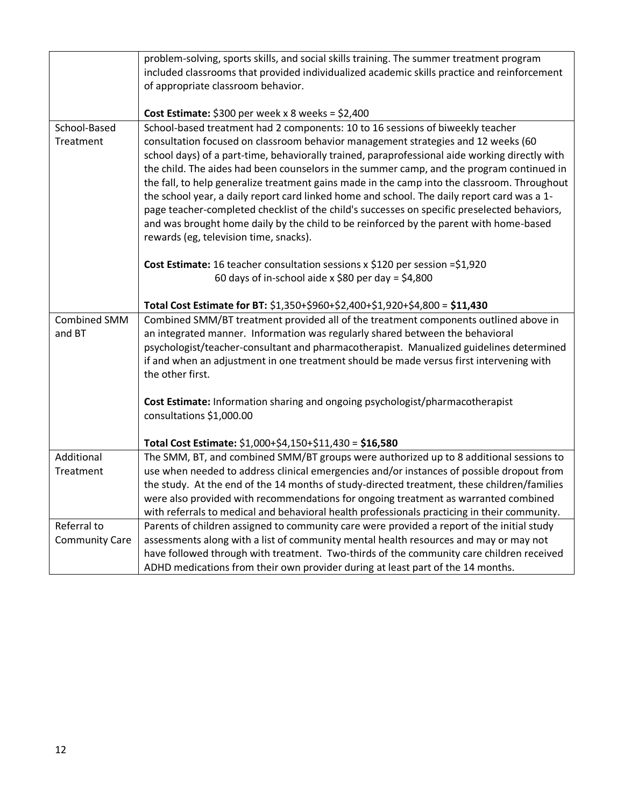|                       | problem-solving, sports skills, and social skills training. The summer treatment program                    |
|-----------------------|-------------------------------------------------------------------------------------------------------------|
|                       | included classrooms that provided individualized academic skills practice and reinforcement                 |
|                       | of appropriate classroom behavior.                                                                          |
|                       |                                                                                                             |
|                       | Cost Estimate: $$300$ per week x 8 weeks = $$2,400$                                                         |
| School-Based          | School-based treatment had 2 components: 10 to 16 sessions of biweekly teacher                              |
| Treatment             | consultation focused on classroom behavior management strategies and 12 weeks (60                           |
|                       | school days) of a part-time, behaviorally trained, paraprofessional aide working directly with              |
|                       | the child. The aides had been counselors in the summer camp, and the program continued in                   |
|                       | the fall, to help generalize treatment gains made in the camp into the classroom. Throughout                |
|                       | the school year, a daily report card linked home and school. The daily report card was a 1-                 |
|                       | page teacher-completed checklist of the child's successes on specific preselected behaviors,                |
|                       | and was brought home daily by the child to be reinforced by the parent with home-based                      |
|                       | rewards (eg, television time, snacks).                                                                      |
|                       |                                                                                                             |
|                       | Cost Estimate: 16 teacher consultation sessions x \$120 per session = \$1,920                               |
|                       | 60 days of in-school aide x \$80 per day = \$4,800                                                          |
|                       | Total Cost Estimate for BT: \$1,350+\$960+\$2,400+\$1,920+\$4,800 = \$11,430                                |
| <b>Combined SMM</b>   | Combined SMM/BT treatment provided all of the treatment components outlined above in                        |
| and BT                | an integrated manner. Information was regularly shared between the behavioral                               |
|                       |                                                                                                             |
|                       | psychologist/teacher-consultant and pharmacotherapist. Manualized guidelines determined                     |
|                       | if and when an adjustment in one treatment should be made versus first intervening with<br>the other first. |
|                       |                                                                                                             |
|                       | Cost Estimate: Information sharing and ongoing psychologist/pharmacotherapist                               |
|                       | consultations \$1,000.00                                                                                    |
|                       |                                                                                                             |
|                       | Total Cost Estimate: \$1,000+\$4,150+\$11,430 = \$16,580                                                    |
| Additional            | The SMM, BT, and combined SMM/BT groups were authorized up to 8 additional sessions to                      |
| Treatment             | use when needed to address clinical emergencies and/or instances of possible dropout from                   |
|                       | the study. At the end of the 14 months of study-directed treatment, these children/families                 |
|                       | were also provided with recommendations for ongoing treatment as warranted combined                         |
|                       | with referrals to medical and behavioral health professionals practicing in their community.                |
| Referral to           | Parents of children assigned to community care were provided a report of the initial study                  |
| <b>Community Care</b> | assessments along with a list of community mental health resources and may or may not                       |
|                       | have followed through with treatment. Two-thirds of the community care children received                    |
|                       | ADHD medications from their own provider during at least part of the 14 months.                             |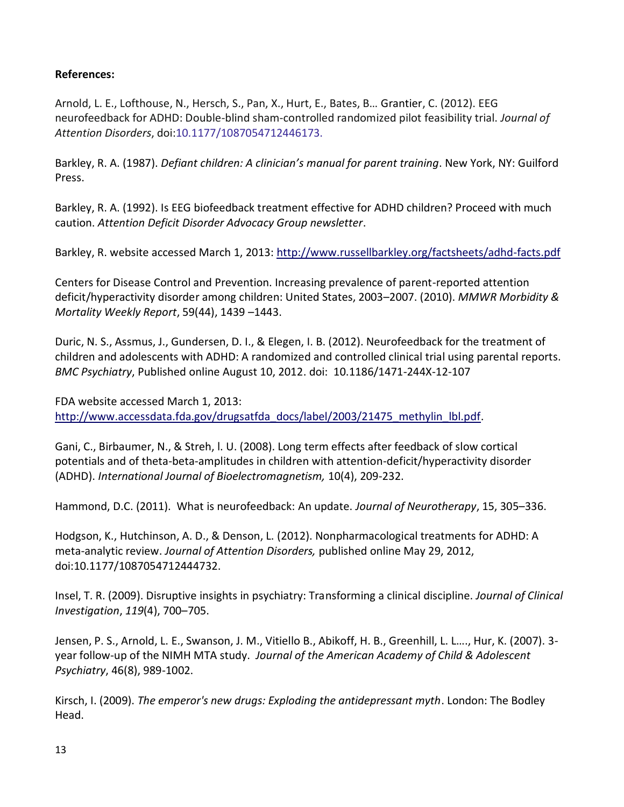### **References:**

Arnold, L. E., Lofthouse, N., Hersch, S., Pan, X., Hurt, E., Bates, B… Grantier, C. (2012). EEG neurofeedback for ADHD: Double-blind sham-controlled randomized pilot feasibility trial. *Journal of Attention Disorders*, doi:10.1177/1087054712446173.

Barkley, R. A. (1987). *Defiant children: A clinician's manual for parent training*. New York, NY: Guilford Press.

Barkley, R. A. (1992). Is EEG biofeedback treatment effective for ADHD children? Proceed with much caution. *Attention Deficit Disorder Advocacy Group newsletter*.

Barkley, R. website accessed March 1, 2013:<http://www.russellbarkley.org/factsheets/adhd-facts.pdf>

Centers for Disease Control and Prevention. Increasing prevalence of parent-reported attention deficit/hyperactivity disorder among children: United States, 2003–2007. (2010). *MMWR Morbidity & Mortality Weekly Report*, 59(44), 1439 –1443.

Duric, N. S., Assmus, J., Gundersen, D. I., & Elegen, I. B. (2012). Neurofeedback for the treatment of children and adolescents with ADHD: A randomized and controlled clinical trial using parental reports. *BMC Psychiatry*, Published online August 10, 2012. doi: 10.1186/1471-244X-12-107

FDA website accessed March 1, 2013: [http://www.accessdata.fda.gov/drugsatfda\\_docs/label/2003/21475\\_methylin\\_lbl.pdf.](http://www.accessdata.fda.gov/drugsatfda_docs/label/2003/21475_methylin_lbl.pdf)

Gani, C., Birbaumer, N., & Streh, l. U. (2008). Long term effects after feedback of slow cortical potentials and of theta-beta-amplitudes in children with attention-deficit/hyperactivity disorder (ADHD). *International Journal of Bioelectromagnetism,* 10(4), 209-232.

Hammond, D.C. (2011). What is neurofeedback: An update. *Journal of Neurotherapy*, 15, 305–336.

Hodgson, K., Hutchinson, A. D., & Denson, L. (2012). Nonpharmacological treatments for ADHD: A meta-analytic review. *Journal of Attention Disorders,* published online May 29, 2012, doi:10.1177/1087054712444732.

Insel, T. R. (2009). Disruptive insights in psychiatry: Transforming a clinical discipline. *Journal of Clinical Investigation*, *119*(4), 700–705.

Jensen, P. S., Arnold, L. E., Swanson, J. M., Vitiello B., Abikoff, H. B., Greenhill, L. L…., Hur, K. (2007). 3 year follow-up of the NIMH MTA study. *Journal of the American Academy of Child & Adolescent Psychiatry*, 46(8), 989-1002.

Kirsch, I. (2009). *The emperor's new drugs: Exploding the antidepressant myth*. London: The Bodley Head.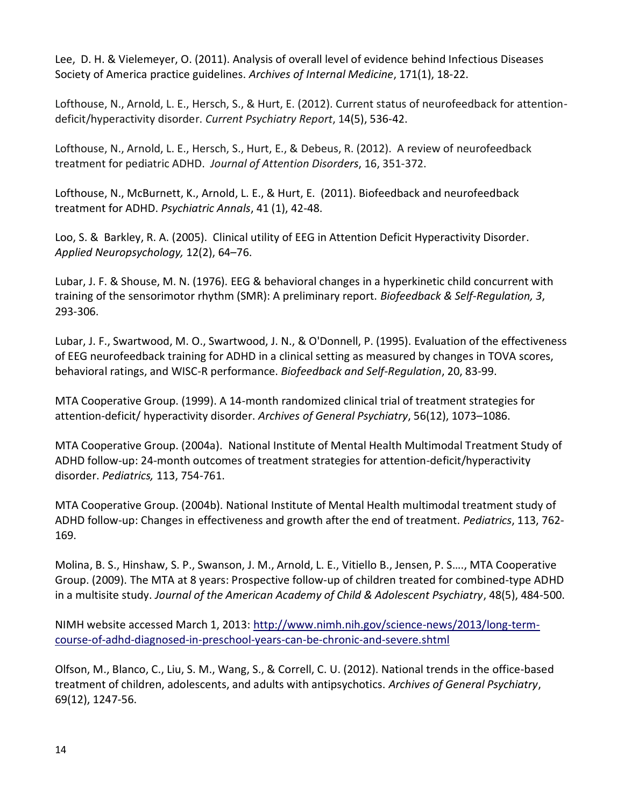Lee, D. H. & Vielemeyer, O. (2011). Analysis of overall level of evidence behind Infectious Diseases Society of America practice guidelines. *Archives of Internal Medicine*, 171(1), 18-22.

Lofthouse, N., Arnold, L. E., Hersch, S., & Hurt, E. (2012). Current status of neurofeedback for attentiondeficit/hyperactivity disorder. *Current Psychiatry Report*, 14(5), 536-42.

Lofthouse, N., Arnold, L. E., Hersch, S., Hurt, E., & Debeus, R. (2012). A review of neurofeedback treatment for pediatric ADHD. *Journal of Attention Disorders*, 16, 351-372.

Lofthouse, N., McBurnett, K., Arnold, L. E., & Hurt, E. (2011). Biofeedback and neurofeedback treatment for ADHD. *Psychiatric Annals*, 41 (1), 42-48.

Loo, S. & Barkley, R. A. (2005). Clinical utility of EEG in Attention Deficit Hyperactivity Disorder. *Applied Neuropsychology,* 12(2), 64–76.

Lubar, J. F. & Shouse, M. N. (1976). EEG & behavioral changes in a hyperkinetic child concurrent with training of the sensorimotor rhythm (SMR): A preliminary report. *Biofeedback & Self-Regulation, 3*, 293-306.

Lubar, J. F., Swartwood, M. O., Swartwood, J. N., & O'Donnell, P. (1995). Evaluation of the effectiveness of EEG neurofeedback training for ADHD in a clinical setting as measured by changes in TOVA scores, behavioral ratings, and WISC-R performance. *Biofeedback and Self-Regulation*, 20, 83-99.

MTA Cooperative Group. (1999). A 14-month randomized clinical trial of treatment strategies for attention-deficit/ hyperactivity disorder. *Archives of General Psychiatry*, 56(12), 1073–1086.

MTA Cooperative Group. (2004a). National Institute of Mental Health Multimodal Treatment Study of ADHD follow-up: 24-month outcomes of treatment strategies for attention-deficit/hyperactivity disorder. *Pediatrics,* 113, 754-761.

MTA Cooperative Group. (2004b). National Institute of Mental Health multimodal treatment study of ADHD follow-up: Changes in effectiveness and growth after the end of treatment. *Pediatrics*, 113, 762- 169.

Molina, B. S., Hinshaw, S. P., Swanson, J. M., Arnold, L. E., Vitiello B., Jensen, P. S…., MTA Cooperative Group. (2009). The MTA at 8 years: Prospective follow-up of children treated for combined-type ADHD in a multisite study. *Journal of the American Academy of Child & Adolescent Psychiatry*, 48(5), 484-500.

NIMH website accessed March 1, 2013: [http://www.nimh.nih.gov/science-news/2013/long-term](http://www.nimh.nih.gov/science-news/2013/long-term-course-of-adhd-diagnosed-in-preschool-years-can-be-chronic-and-severe.shtml)[course-of-adhd-diagnosed-in-preschool-years-can-be-chronic-and-severe.shtml](http://www.nimh.nih.gov/science-news/2013/long-term-course-of-adhd-diagnosed-in-preschool-years-can-be-chronic-and-severe.shtml)

Olfson, M., Blanco, C., Liu, S. M., Wang, S., & Correll, C. U. (2012). National trends in the office-based treatment of children, adolescents, and adults with antipsychotics. *Archives of General Psychiatry*, 69(12), 1247-56.